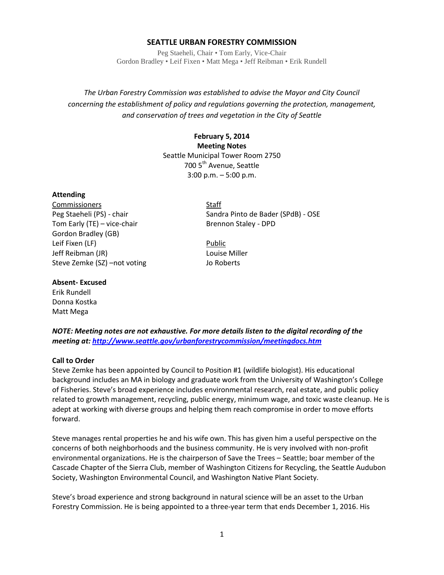# **SEATTLE URBAN FORESTRY COMMISSION**

Peg Staeheli, Chair • Tom Early, Vice-Chair Gordon Bradley • Leif Fixen • Matt Mega • Jeff Reibman • Erik Rundell

*The Urban Forestry Commission was established to advise the Mayor and City Council concerning the establishment of policy and regulations governing the protection, management, and conservation of trees and vegetation in the City of Seattle*

> **February 5, 2014 Meeting Notes** Seattle Municipal Tower Room 2750 700 5<sup>th</sup> Avenue, Seattle 3:00 p.m. – 5:00 p.m.

#### **Attending**

Commissioners Staff Tom Early (TE) – vice-chair Brennon Staley - DPD Gordon Bradley (GB) Leif Fixen (LF) and the contract of the Public Public Jeff Reibman (JR) Louise Miller Steve Zemke (SZ) –not voting and some Jo Roberts

Peg Staeheli (PS) - chair Sandra Pinto de Bader (SPdB) - OSE

#### **Absent- Excused**

Erik Rundell Donna Kostka Matt Mega

*NOTE: Meeting notes are not exhaustive. For more details listen to the digital recording of the meeting at[: http://www.seattle.gov/urbanforestrycommission/meetingdocs.htm](http://www.seattle.gov/urbanforestrycommission/meetingdocs.htm)*

#### **Call to Order**

Steve Zemke has been appointed by Council to Position #1 (wildlife biologist). His educational background includes an MA in biology and graduate work from the University of Washington's College of Fisheries. Steve's broad experience includes environmental research, real estate, and public policy related to growth management, recycling, public energy, minimum wage, and toxic waste cleanup. He is adept at working with diverse groups and helping them reach compromise in order to move efforts forward.

Steve manages rental properties he and his wife own. This has given him a useful perspective on the concerns of both neighborhoods and the business community. He is very involved with non-profit environmental organizations. He is the chairperson of Save the Trees – Seattle; boar member of the Cascade Chapter of the Sierra Club, member of Washington Citizens for Recycling, the Seattle Audubon Society, Washington Environmental Council, and Washington Native Plant Society.

Steve's broad experience and strong background in natural science will be an asset to the Urban Forestry Commission. He is being appointed to a three-year term that ends December 1, 2016. His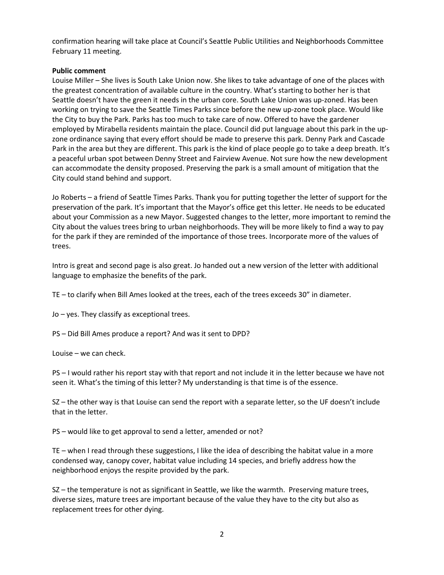confirmation hearing will take place at Council's Seattle Public Utilities and Neighborhoods Committee February 11 meeting.

## **Public comment**

Louise Miller – She lives is South Lake Union now. She likes to take advantage of one of the places with the greatest concentration of available culture in the country. What's starting to bother her is that Seattle doesn't have the green it needs in the urban core. South Lake Union was up-zoned. Has been working on trying to save the Seattle Times Parks since before the new up-zone took place. Would like the City to buy the Park. Parks has too much to take care of now. Offered to have the gardener employed by Mirabella residents maintain the place. Council did put language about this park in the upzone ordinance saying that every effort should be made to preserve this park. Denny Park and Cascade Park in the area but they are different. This park is the kind of place people go to take a deep breath. It's a peaceful urban spot between Denny Street and Fairview Avenue. Not sure how the new development can accommodate the density proposed. Preserving the park is a small amount of mitigation that the City could stand behind and support.

Jo Roberts – a friend of Seattle Times Parks. Thank you for putting together the letter of support for the preservation of the park. It's important that the Mayor's office get this letter. He needs to be educated about your Commission as a new Mayor. Suggested changes to the letter, more important to remind the City about the values trees bring to urban neighborhoods. They will be more likely to find a way to pay for the park if they are reminded of the importance of those trees. Incorporate more of the values of trees.

Intro is great and second page is also great. Jo handed out a new version of the letter with additional language to emphasize the benefits of the park.

TE – to clarify when Bill Ames looked at the trees, each of the trees exceeds 30" in diameter.

Jo – yes. They classify as exceptional trees.

PS – Did Bill Ames produce a report? And was it sent to DPD?

Louise – we can check.

PS – I would rather his report stay with that report and not include it in the letter because we have not seen it. What's the timing of this letter? My understanding is that time is of the essence.

SZ – the other way is that Louise can send the report with a separate letter, so the UF doesn't include that in the letter.

PS – would like to get approval to send a letter, amended or not?

TE – when I read through these suggestions, I like the idea of describing the habitat value in a more condensed way, canopy cover, habitat value including 14 species, and briefly address how the neighborhood enjoys the respite provided by the park.

SZ – the temperature is not as significant in Seattle, we like the warmth. Preserving mature trees, diverse sizes, mature trees are important because of the value they have to the city but also as replacement trees for other dying.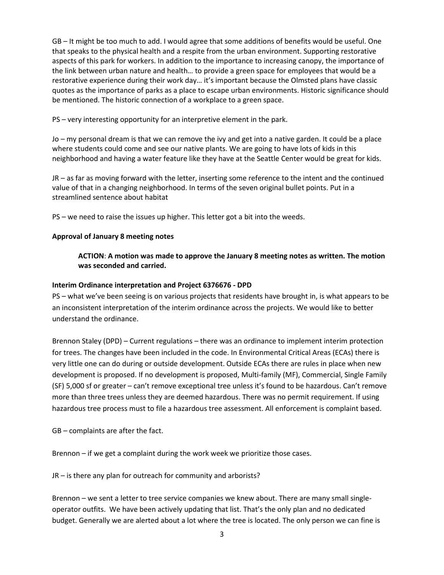GB – It might be too much to add. I would agree that some additions of benefits would be useful. One that speaks to the physical health and a respite from the urban environment. Supporting restorative aspects of this park for workers. In addition to the importance to increasing canopy, the importance of the link between urban nature and health… to provide a green space for employees that would be a restorative experience during their work day… it's important because the Olmsted plans have classic quotes as the importance of parks as a place to escape urban environments. Historic significance should be mentioned. The historic connection of a workplace to a green space.

PS – very interesting opportunity for an interpretive element in the park.

Jo – my personal dream is that we can remove the ivy and get into a native garden. It could be a place where students could come and see our native plants. We are going to have lots of kids in this neighborhood and having a water feature like they have at the Seattle Center would be great for kids.

JR – as far as moving forward with the letter, inserting some reference to the intent and the continued value of that in a changing neighborhood. In terms of the seven original bullet points. Put in a streamlined sentence about habitat

PS – we need to raise the issues up higher. This letter got a bit into the weeds.

### **Approval of January 8 meeting notes**

# **ACTION**: **A motion was made to approve the January 8 meeting notes as written. The motion was seconded and carried.**

### **Interim Ordinance interpretation and Project 6376676 - DPD**

PS – what we've been seeing is on various projects that residents have brought in, is what appears to be an inconsistent interpretation of the interim ordinance across the projects. We would like to better understand the ordinance.

Brennon Staley (DPD) – Current regulations – there was an ordinance to implement interim protection for trees. The changes have been included in the code. In Environmental Critical Areas (ECAs) there is very little one can do during or outside development. Outside ECAs there are rules in place when new development is proposed. If no development is proposed, Multi-family (MF), Commercial, Single Family (SF) 5,000 sf or greater – can't remove exceptional tree unless it's found to be hazardous. Can't remove more than three trees unless they are deemed hazardous. There was no permit requirement. If using hazardous tree process must to file a hazardous tree assessment. All enforcement is complaint based.

GB – complaints are after the fact.

Brennon – if we get a complaint during the work week we prioritize those cases.

JR – is there any plan for outreach for community and arborists?

Brennon – we sent a letter to tree service companies we knew about. There are many small singleoperator outfits. We have been actively updating that list. That's the only plan and no dedicated budget. Generally we are alerted about a lot where the tree is located. The only person we can fine is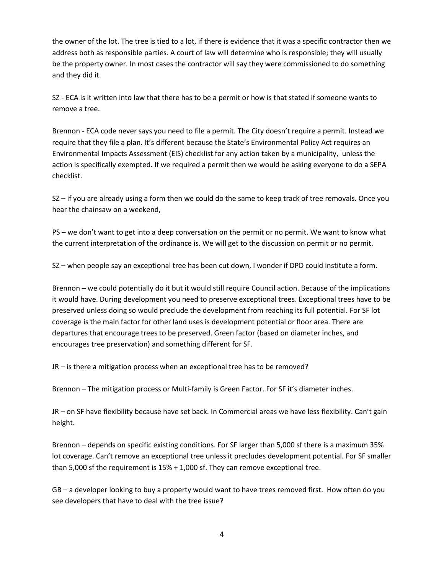the owner of the lot. The tree is tied to a lot, if there is evidence that it was a specific contractor then we address both as responsible parties. A court of law will determine who is responsible; they will usually be the property owner. In most cases the contractor will say they were commissioned to do something and they did it.

SZ - ECA is it written into law that there has to be a permit or how is that stated if someone wants to remove a tree.

Brennon - ECA code never says you need to file a permit. The City doesn't require a permit. Instead we require that they file a plan. It's different because the State's Environmental Policy Act requires an Environmental Impacts Assessment (EIS) checklist for any action taken by a municipality, unless the action is specifically exempted. If we required a permit then we would be asking everyone to do a SEPA checklist.

SZ – if you are already using a form then we could do the same to keep track of tree removals. Once you hear the chainsaw on a weekend,

PS – we don't want to get into a deep conversation on the permit or no permit. We want to know what the current interpretation of the ordinance is. We will get to the discussion on permit or no permit.

SZ – when people say an exceptional tree has been cut down, I wonder if DPD could institute a form.

Brennon – we could potentially do it but it would still require Council action. Because of the implications it would have. During development you need to preserve exceptional trees. Exceptional trees have to be preserved unless doing so would preclude the development from reaching its full potential. For SF lot coverage is the main factor for other land uses is development potential or floor area. There are departures that encourage trees to be preserved. Green factor (based on diameter inches, and encourages tree preservation) and something different for SF.

JR – is there a mitigation process when an exceptional tree has to be removed?

Brennon – The mitigation process or Multi-family is Green Factor. For SF it's diameter inches.

JR – on SF have flexibility because have set back. In Commercial areas we have less flexibility. Can't gain height.

Brennon – depends on specific existing conditions. For SF larger than 5,000 sf there is a maximum 35% lot coverage. Can't remove an exceptional tree unless it precludes development potential. For SF smaller than 5,000 sf the requirement is 15% + 1,000 sf. They can remove exceptional tree.

GB – a developer looking to buy a property would want to have trees removed first. How often do you see developers that have to deal with the tree issue?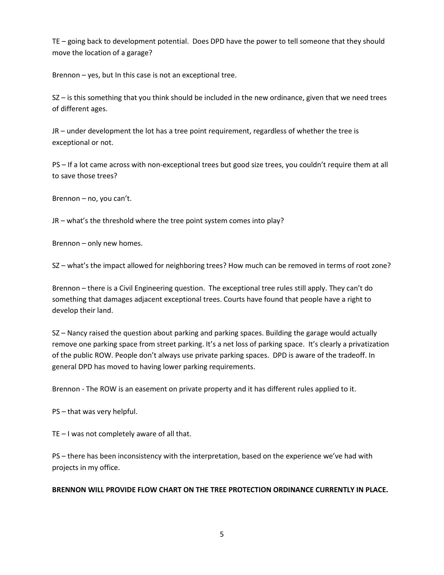TE – going back to development potential. Does DPD have the power to tell someone that they should move the location of a garage?

Brennon – yes, but In this case is not an exceptional tree.

SZ – is this something that you think should be included in the new ordinance, given that we need trees of different ages.

JR – under development the lot has a tree point requirement, regardless of whether the tree is exceptional or not.

PS – If a lot came across with non-exceptional trees but good size trees, you couldn't require them at all to save those trees?

Brennon – no, you can't.

JR – what's the threshold where the tree point system comes into play?

Brennon – only new homes.

SZ – what's the impact allowed for neighboring trees? How much can be removed in terms of root zone?

Brennon – there is a Civil Engineering question. The exceptional tree rules still apply. They can't do something that damages adjacent exceptional trees. Courts have found that people have a right to develop their land.

SZ – Nancy raised the question about parking and parking spaces. Building the garage would actually remove one parking space from street parking. It's a net loss of parking space. It's clearly a privatization of the public ROW. People don't always use private parking spaces. DPD is aware of the tradeoff. In general DPD has moved to having lower parking requirements.

Brennon - The ROW is an easement on private property and it has different rules applied to it.

PS – that was very helpful.

TE – I was not completely aware of all that.

PS – there has been inconsistency with the interpretation, based on the experience we've had with projects in my office.

### **BRENNON WILL PROVIDE FLOW CHART ON THE TREE PROTECTION ORDINANCE CURRENTLY IN PLACE.**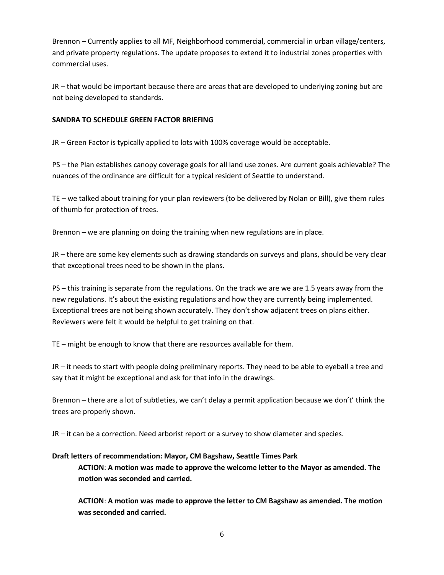Brennon – Currently applies to all MF, Neighborhood commercial, commercial in urban village/centers, and private property regulations. The update proposes to extend it to industrial zones properties with commercial uses.

JR – that would be important because there are areas that are developed to underlying zoning but are not being developed to standards.

# **SANDRA TO SCHEDULE GREEN FACTOR BRIEFING**

JR – Green Factor is typically applied to lots with 100% coverage would be acceptable.

PS – the Plan establishes canopy coverage goals for all land use zones. Are current goals achievable? The nuances of the ordinance are difficult for a typical resident of Seattle to understand.

TE – we talked about training for your plan reviewers (to be delivered by Nolan or Bill), give them rules of thumb for protection of trees.

Brennon – we are planning on doing the training when new regulations are in place.

JR – there are some key elements such as drawing standards on surveys and plans, should be very clear that exceptional trees need to be shown in the plans.

PS – this training is separate from the regulations. On the track we are we are 1.5 years away from the new regulations. It's about the existing regulations and how they are currently being implemented. Exceptional trees are not being shown accurately. They don't show adjacent trees on plans either. Reviewers were felt it would be helpful to get training on that.

TE – might be enough to know that there are resources available for them.

JR – it needs to start with people doing preliminary reports. They need to be able to eyeball a tree and say that it might be exceptional and ask for that info in the drawings.

Brennon – there are a lot of subtleties, we can't delay a permit application because we don't' think the trees are properly shown.

JR – it can be a correction. Need arborist report or a survey to show diameter and species.

# **Draft letters of recommendation: Mayor, CM Bagshaw, Seattle Times Park**

**ACTION**: **A motion was made to approve the welcome letter to the Mayor as amended. The motion was seconded and carried.**

**ACTION**: **A motion was made to approve the letter to CM Bagshaw as amended. The motion was seconded and carried.**